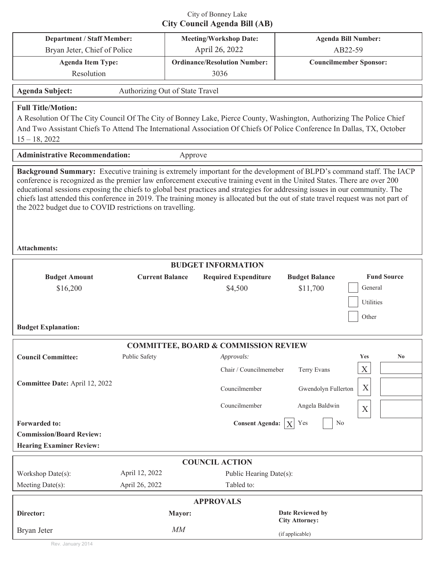## City of Bonney Lake **City Council Agenda Bill (AB)**

|                                                                                                                                                                                                                                                                                                                                                                                                                                                                                   |                |                                                            |                                      | <b>Agenda Bill Number:</b>                                 |
|-----------------------------------------------------------------------------------------------------------------------------------------------------------------------------------------------------------------------------------------------------------------------------------------------------------------------------------------------------------------------------------------------------------------------------------------------------------------------------------|----------------|------------------------------------------------------------|--------------------------------------|------------------------------------------------------------|
| <b>Department / Staff Member:</b><br>Bryan Jeter, Chief of Police                                                                                                                                                                                                                                                                                                                                                                                                                 |                | <b>Meeting/Workshop Date:</b><br>April 26, 2022            |                                      | AB22-59                                                    |
| <b>Agenda Item Type:</b>                                                                                                                                                                                                                                                                                                                                                                                                                                                          |                | <b>Ordinance/Resolution Number:</b>                        |                                      | <b>Councilmember Sponsor:</b>                              |
| Resolution                                                                                                                                                                                                                                                                                                                                                                                                                                                                        |                |                                                            | 3036                                 |                                                            |
|                                                                                                                                                                                                                                                                                                                                                                                                                                                                                   |                |                                                            |                                      |                                                            |
| <b>Agenda Subject:</b><br>Authorizing Out of State Travel                                                                                                                                                                                                                                                                                                                                                                                                                         |                |                                                            |                                      |                                                            |
| <b>Full Title/Motion:</b><br>A Resolution Of The City Council Of The City of Bonney Lake, Pierce County, Washington, Authorizing The Police Chief<br>And Two Assistant Chiefs To Attend The International Association Of Chiefs Of Police Conference In Dallas, TX, October<br>$15 - 18, 2022$                                                                                                                                                                                    |                |                                                            |                                      |                                                            |
| <b>Administrative Recommendation:</b><br>Approve                                                                                                                                                                                                                                                                                                                                                                                                                                  |                |                                                            |                                      |                                                            |
| conference is recognized as the premier law enforcement executive training event in the United States. There are over 200<br>educational sessions exposing the chiefs to global best practices and strategies for addressing issues in our community. The<br>chiefs last attended this conference in 2019. The training money is allocated but the out of state travel request was not part of<br>the 2022 budget due to COVID restrictions on travelling.<br><b>Attachments:</b> |                |                                                            |                                      |                                                            |
| <b>BUDGET INFORMATION</b>                                                                                                                                                                                                                                                                                                                                                                                                                                                         |                |                                                            |                                      |                                                            |
| <b>Fund Source</b><br><b>Budget Amount</b><br><b>Current Balance</b><br><b>Required Expenditure</b><br><b>Budget Balance</b>                                                                                                                                                                                                                                                                                                                                                      |                |                                                            |                                      |                                                            |
| \$16,200<br><b>Budget Explanation:</b>                                                                                                                                                                                                                                                                                                                                                                                                                                            |                |                                                            | \$4,500                              | General<br>\$11,700<br>Utilities<br>Other                  |
| <b>COMMITTEE, BOARD &amp; COMMISSION REVIEW</b>                                                                                                                                                                                                                                                                                                                                                                                                                                   |                |                                                            |                                      |                                                            |
| <b>Council Committee:</b>                                                                                                                                                                                                                                                                                                                                                                                                                                                         | Public Safety  |                                                            | Approvals:<br>Chair / Councilmemeber | <b>Yes</b><br>N <sub>0</sub><br>$\mathbf X$<br>Terry Evans |
| Committee Date: April 12, 2022                                                                                                                                                                                                                                                                                                                                                                                                                                                    |                |                                                            | Councilmember<br>Councilmember       | X<br>Gwendolyn Fullerton<br>Angela Baldwin<br>$\mathbf X$  |
| <b>Consent Agenda:</b><br>Yes<br>No<br><b>Forwarded to:</b><br><b>Commission/Board Review:</b><br><b>Hearing Examiner Review:</b>                                                                                                                                                                                                                                                                                                                                                 |                |                                                            |                                      |                                                            |
| <b>COUNCIL ACTION</b>                                                                                                                                                                                                                                                                                                                                                                                                                                                             |                |                                                            |                                      |                                                            |
| Workshop Date(s):                                                                                                                                                                                                                                                                                                                                                                                                                                                                 | April 12, 2022 |                                                            | Public Hearing Date(s):              |                                                            |
| Meeting Date(s):                                                                                                                                                                                                                                                                                                                                                                                                                                                                  | April 26, 2022 |                                                            | Tabled to:                           |                                                            |
| <b>APPROVALS</b>                                                                                                                                                                                                                                                                                                                                                                                                                                                                  |                |                                                            |                                      |                                                            |
| Director:                                                                                                                                                                                                                                                                                                                                                                                                                                                                         |                | <b>Date Reviewed by</b><br>Mayor:<br><b>City Attorney:</b> |                                      |                                                            |
| Bryan Jeter                                                                                                                                                                                                                                                                                                                                                                                                                                                                       | MM             |                                                            |                                      | (if applicable)                                            |

Rev. January 2014